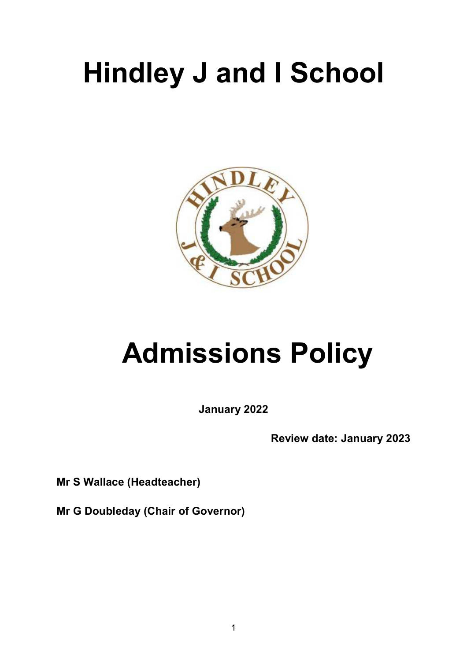# **Hindley J and I School**



# **Admissions Policy**

**January 2022** 

**Review date: January 2023** 

**Mr S Wallace (Headteacher)** 

**Mr G Doubleday (Chair of Governor)**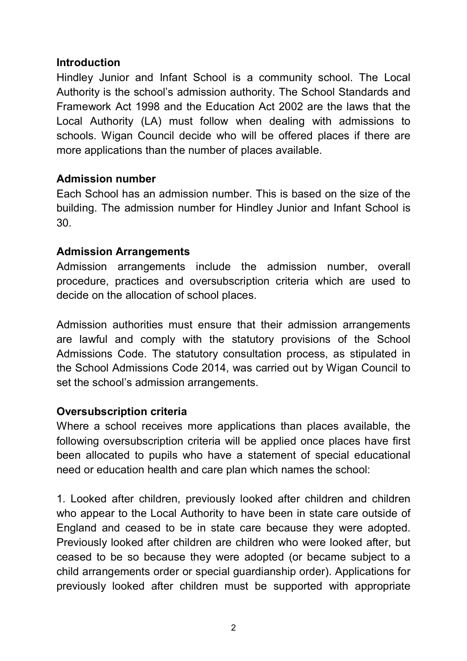### **Introduction**

Hindley Junior and Infant School is a community school. The Local Authority is the school's admission authority. The School Standards and Framework Act 1998 and the Education Act 2002 are the laws that the Local Authority (LA) must follow when dealing with admissions to schools. Wigan Council decide who will be offered places if there are more applications than the number of places available.

#### **Admission number**

Each School has an admission number. This is based on the size of the building. The admission number for Hindley Junior and Infant School is 30.

### **Admission Arrangements**

Admission arrangements include the admission number, overall procedure, practices and oversubscription criteria which are used to decide on the allocation of school places.

Admission authorities must ensure that their admission arrangements are lawful and comply with the statutory provisions of the School Admissions Code. The statutory consultation process, as stipulated in the School Admissions Code 2014, was carried out by Wigan Council to set the school's admission arrangements.

### **Oversubscription criteria**

Where a school receives more applications than places available, the following oversubscription criteria will be applied once places have first been allocated to pupils who have a statement of special educational need or education health and care plan which names the school:

1. Looked after children, previously looked after children and children who appear to the Local Authority to have been in state care outside of England and ceased to be in state care because they were adopted. Previously looked after children are children who were looked after, but ceased to be so because they were adopted (or became subject to a child arrangements order or special guardianship order). Applications for previously looked after children must be supported with appropriate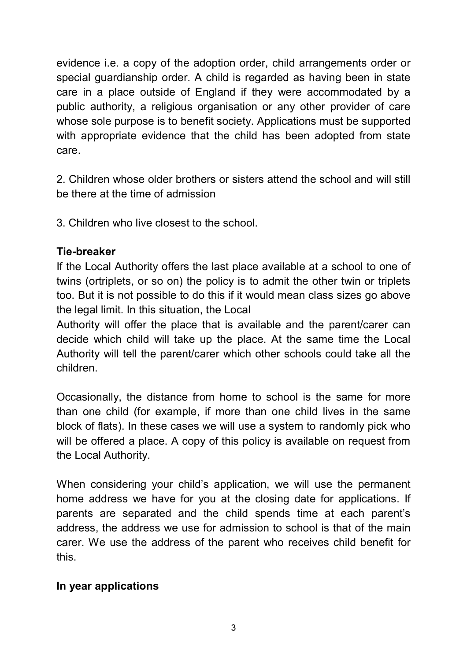evidence i.e. a copy of the adoption order, child arrangements order or special guardianship order. A child is regarded as having been in state care in a place outside of England if they were accommodated by a public authority, a religious organisation or any other provider of care whose sole purpose is to benefit society. Applications must be supported with appropriate evidence that the child has been adopted from state care.

2. Children whose older brothers or sisters attend the school and will still be there at the time of admission

3. Children who live closest to the school.

## **Tie-breaker**

If the Local Authority offers the last place available at a school to one of twins (ortriplets, or so on) the policy is to admit the other twin or triplets too. But it is not possible to do this if it would mean class sizes go above the legal limit. In this situation, the Local

Authority will offer the place that is available and the parent/carer can decide which child will take up the place. At the same time the Local Authority will tell the parent/carer which other schools could take all the children.

Occasionally, the distance from home to school is the same for more than one child (for example, if more than one child lives in the same block of flats). In these cases we will use a system to randomly pick who will be offered a place. A copy of this policy is available on request from the Local Authority.

When considering your child's application, we will use the permanent home address we have for you at the closing date for applications. If parents are separated and the child spends time at each parent's address, the address we use for admission to school is that of the main carer. We use the address of the parent who receives child benefit for this.

## **In year applications**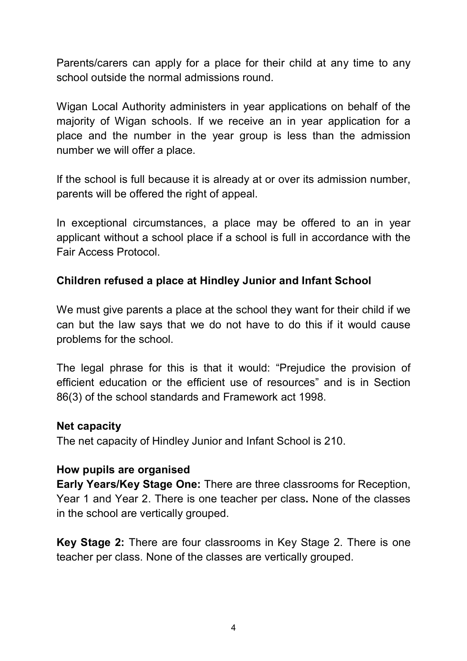Parents/carers can apply for a place for their child at any time to any school outside the normal admissions round.

Wigan Local Authority administers in year applications on behalf of the majority of Wigan schools. If we receive an in year application for a place and the number in the year group is less than the admission number we will offer a place.

If the school is full because it is already at or over its admission number, parents will be offered the right of appeal.

In exceptional circumstances, a place may be offered to an in year applicant without a school place if a school is full in accordance with the Fair Access Protocol.

## **Children refused a place at Hindley Junior and Infant School**

We must give parents a place at the school they want for their child if we can but the law says that we do not have to do this if it would cause problems for the school.

The legal phrase for this is that it would: "Prejudice the provision of efficient education or the efficient use of resources" and is in Section 86(3) of the school standards and Framework act 1998.

#### **Net capacity**

The net capacity of Hindley Junior and Infant School is 210.

#### **How pupils are organised**

**Early Years/Key Stage One:** There are three classrooms for Reception, Year 1 and Year 2. There is one teacher per class**.** None of the classes in the school are vertically grouped.

**Key Stage 2:** There are four classrooms in Key Stage 2. There is one teacher per class. None of the classes are vertically grouped.